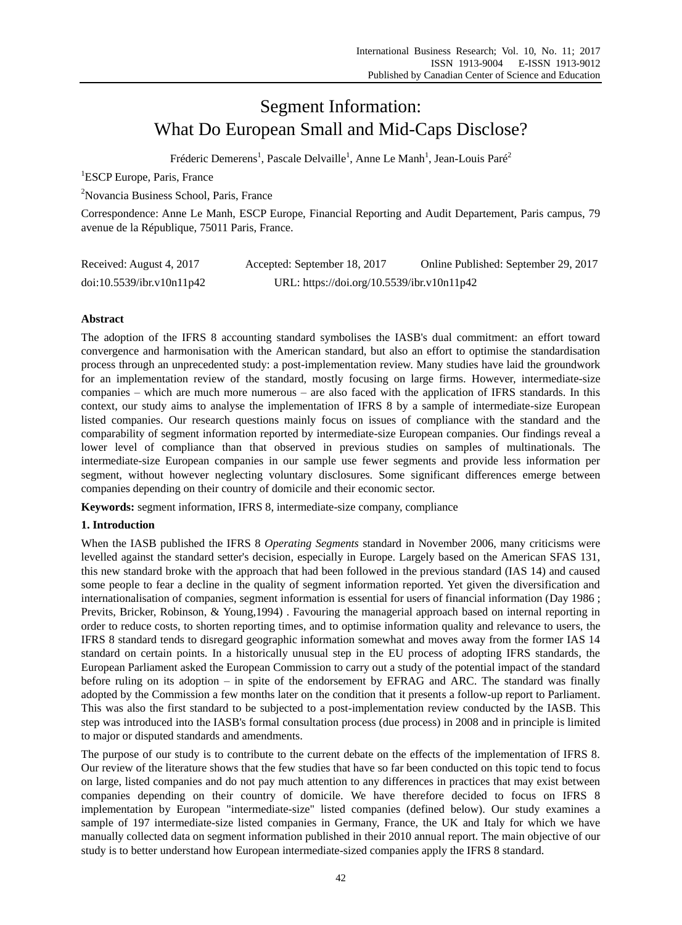# Segment Information: What Do European Small and Mid-Caps Disclose?

Fréderic Demerens<sup>1</sup>, Pascale Delvaille<sup>1</sup>, Anne Le Manh<sup>1</sup>, Jean-Louis Paré<sup>2</sup>

<sup>1</sup>ESCP Europe, Paris, France

<sup>2</sup>Novancia Business School, Paris, France

Correspondence: Anne Le Manh, ESCP Europe, Financial Reporting and Audit Departement, Paris campus, 79 avenue de la République, 75011 Paris, France.

| Received: August 4, 2017  | Accepted: September 18, 2017               | Online Published: September 29, 2017 |
|---------------------------|--------------------------------------------|--------------------------------------|
| doi:10.5539/ibr.v10n11p42 | URL: https://doi.org/10.5539/ibr.v10n11p42 |                                      |

# **Abstract**

The adoption of the IFRS 8 accounting standard symbolises the IASB's dual commitment: an effort toward convergence and harmonisation with the American standard, but also an effort to optimise the standardisation process through an unprecedented study: a post-implementation review. Many studies have laid the groundwork for an implementation review of the standard, mostly focusing on large firms. However, intermediate-size companies – which are much more numerous – are also faced with the application of IFRS standards. In this context, our study aims to analyse the implementation of IFRS 8 by a sample of intermediate-size European listed companies. Our research questions mainly focus on issues of compliance with the standard and the comparability of segment information reported by intermediate-size European companies. Our findings reveal a lower level of compliance than that observed in previous studies on samples of multinationals. The intermediate-size European companies in our sample use fewer segments and provide less information per segment, without however neglecting voluntary disclosures. Some significant differences emerge between companies depending on their country of domicile and their economic sector.

**Keywords:** segment information, IFRS 8, intermediate-size company, compliance

# **1. Introduction**

When the IASB published the IFRS 8 *Operating Segments* standard in November 2006, many criticisms were levelled against the standard setter's decision, especially in Europe. Largely based on the American SFAS 131, this new standard broke with the approach that had been followed in the previous standard (IAS 14) and caused some people to fear a decline in the quality of segment information reported. Yet given the diversification and internationalisation of companies, segment information is essential for users of financial information (Day 1986 ; Previts, Bricker, Robinson, & Young,1994) . Favouring the managerial approach based on internal reporting in order to reduce costs, to shorten reporting times, and to optimise information quality and relevance to users, the IFRS 8 standard tends to disregard geographic information somewhat and moves away from the former IAS 14 standard on certain points. In a historically unusual step in the EU process of adopting IFRS standards, the European Parliament asked the European Commission to carry out a study of the potential impact of the standard before ruling on its adoption – in spite of the endorsement by EFRAG and ARC. The standard was finally adopted by the Commission a few months later on the condition that it presents a follow-up report to Parliament. This was also the first standard to be subjected to a post-implementation review conducted by the IASB. This step was introduced into the IASB's formal consultation process (due process) in 2008 and in principle is limited to major or disputed standards and amendments.

The purpose of our study is to contribute to the current debate on the effects of the implementation of IFRS 8. Our review of the literature shows that the few studies that have so far been conducted on this topic tend to focus on large, listed companies and do not pay much attention to any differences in practices that may exist between companies depending on their country of domicile. We have therefore decided to focus on IFRS 8 implementation by European "intermediate-size" listed companies (defined below). Our study examines a sample of 197 intermediate-size listed companies in Germany, France, the UK and Italy for which we have manually collected data on segment information published in their 2010 annual report. The main objective of our study is to better understand how European intermediate-sized companies apply the IFRS 8 standard.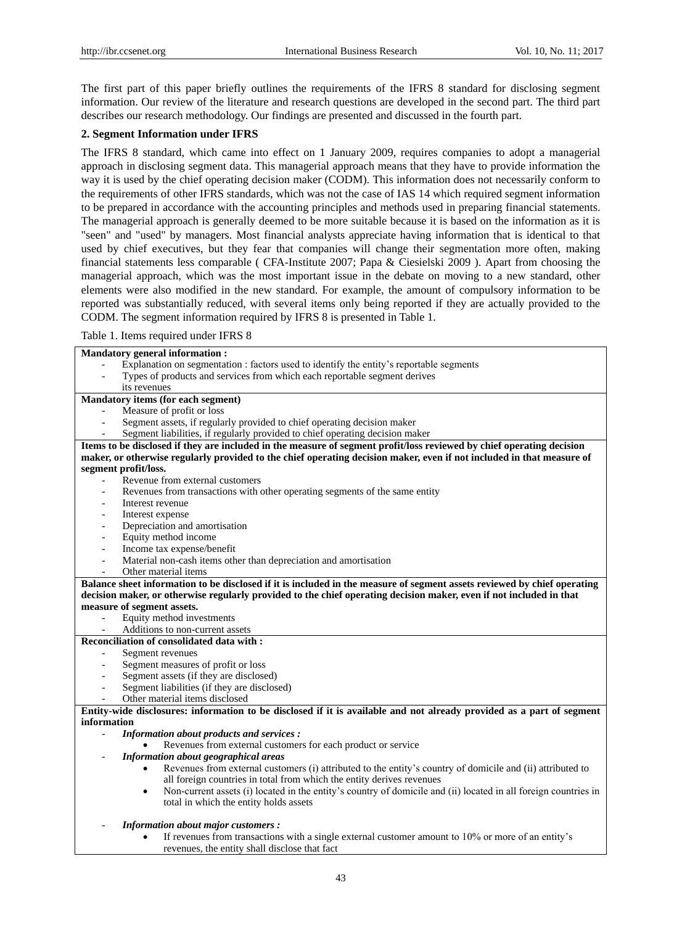The first part of this paper briefly outlines the requirements of the IFRS 8 standard for disclosing segment information. Our review of the literature and research questions are developed in the second part. The third part describes our research methodology. Our findings are presented and discussed in the fourth part.

# **2. Segment Information under IFRS**

The IFRS 8 standard, which came into effect on 1 January 2009, requires companies to adopt a managerial approach in disclosing segment data. This managerial approach means that they have to provide information the way it is used by the chief operating decision maker (CODM). This information does not necessarily conform to the requirements of other IFRS standards, which was not the case of IAS 14 which required segment information to be prepared in accordance with the accounting principles and methods used in preparing financial statements. The managerial approach is generally deemed to be more suitable because it is based on the information as it is "seen" and "used" by managers. Most financial analysts appreciate having information that is identical to that used by chief executives, but they fear that companies will change their segmentation more often, making financial statements less comparable ( CFA-Institute 2007; Papa & Ciesielski 2009 ). Apart from choosing the managerial approach, which was the most important issue in the debate on moving to a new standard, other elements were also modified in the new standard. For example, the amount of compulsory information to be reported was substantially reduced, with several items only being reported if they are actually provided to the CODM. The segment information required by IFRS 8 is presented in Table 1.

Table 1. Items required under IFRS 8

| <b>Mandatory general information:</b>                                                                                                           |  |
|-------------------------------------------------------------------------------------------------------------------------------------------------|--|
| Explanation on segmentation : factors used to identify the entity's reportable segments                                                         |  |
| Types of products and services from which each reportable segment derives                                                                       |  |
| its revenues                                                                                                                                    |  |
| Mandatory items (for each segment)                                                                                                              |  |
| Measure of profit or loss                                                                                                                       |  |
| Segment assets, if regularly provided to chief operating decision maker<br>$\overline{\phantom{a}}$                                             |  |
| Segment liabilities, if regularly provided to chief operating decision maker                                                                    |  |
| Items to be disclosed if they are included in the measure of segment profit/loss reviewed by chief operating decision                           |  |
| maker, or otherwise regularly provided to the chief operating decision maker, even if not included in that measure of                           |  |
| segment profit/loss.                                                                                                                            |  |
| Revenue from external customers                                                                                                                 |  |
| Revenues from transactions with other operating segments of the same entity                                                                     |  |
| Interest revenue                                                                                                                                |  |
| Interest expense                                                                                                                                |  |
| Depreciation and amortisation<br>$\overline{a}$                                                                                                 |  |
| Equity method income<br>$\overline{\phantom{a}}$                                                                                                |  |
| Income tax expense/benefit                                                                                                                      |  |
| Material non-cash items other than depreciation and amortisation<br>$\overline{\phantom{a}}$                                                    |  |
| Other material items                                                                                                                            |  |
| Balance sheet information to be disclosed if it is included in the measure of segment assets reviewed by chief operating                        |  |
| decision maker, or otherwise regularly provided to the chief operating decision maker, even if not included in that                             |  |
| measure of segment assets.                                                                                                                      |  |
| Equity method investments<br>$\qquad \qquad -$                                                                                                  |  |
| Additions to non-current assets                                                                                                                 |  |
| Reconciliation of consolidated data with :                                                                                                      |  |
| Segment revenues<br>$\overline{a}$                                                                                                              |  |
| Segment measures of profit or loss                                                                                                              |  |
| Segment assets (if they are disclosed)                                                                                                          |  |
| Segment liabilities (if they are disclosed)                                                                                                     |  |
| Other material items disclosed                                                                                                                  |  |
| Entity-wide disclosures: information to be disclosed if it is available and not already provided as a part of segment                           |  |
| information                                                                                                                                     |  |
| <b>Information about products and services:</b><br>$\overline{\phantom{a}}$                                                                     |  |
| Revenues from external customers for each product or service                                                                                    |  |
| Information about geographical areas                                                                                                            |  |
| Revenues from external customers (i) attributed to the entity's country of domicile and (ii) attributed to                                      |  |
| all foreign countries in total from which the entity derives revenues                                                                           |  |
| Non-current assets (i) located in the entity's country of domicile and (ii) located in all foreign countries in<br>$\bullet$                    |  |
| total in which the entity holds assets                                                                                                          |  |
|                                                                                                                                                 |  |
| <b>Information about major customers:</b><br>If revenues from transactions with a single external customer amount to 10% or more of an entity's |  |
| revenues, the entity shall disclose that fact                                                                                                   |  |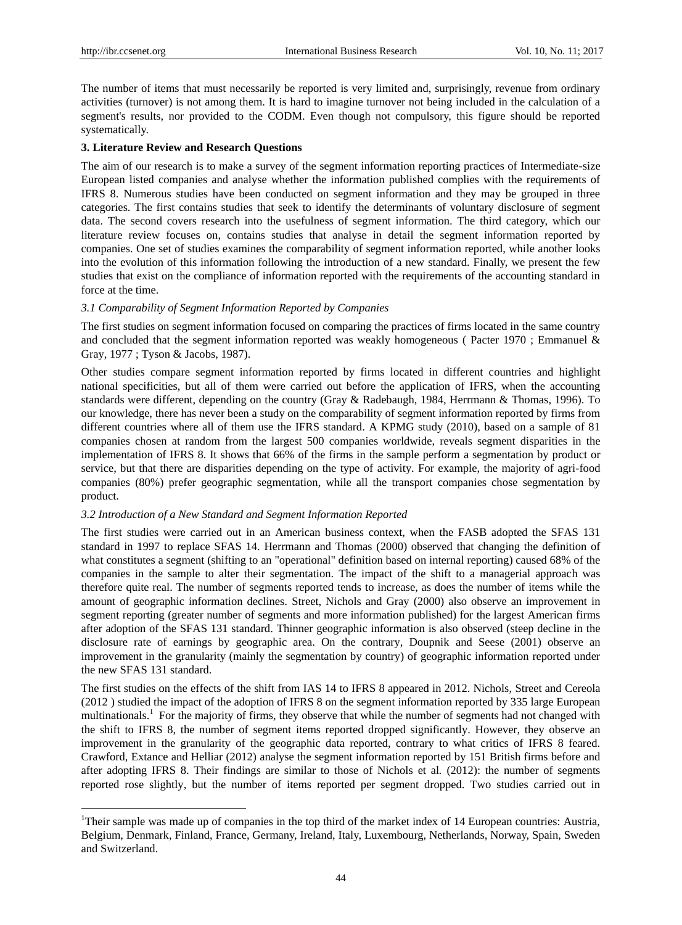-

The number of items that must necessarily be reported is very limited and, surprisingly, revenue from ordinary activities (turnover) is not among them. It is hard to imagine turnover not being included in the calculation of a segment's results, nor provided to the CODM. Even though not compulsory, this figure should be reported systematically.

#### **3. Literature Review and Research Questions**

The aim of our research is to make a survey of the segment information reporting practices of Intermediate-size European listed companies and analyse whether the information published complies with the requirements of IFRS 8. Numerous studies have been conducted on segment information and they may be grouped in three categories. The first contains studies that seek to identify the determinants of voluntary disclosure of segment data. The second covers research into the usefulness of segment information. The third category, which our literature review focuses on, contains studies that analyse in detail the segment information reported by companies. One set of studies examines the comparability of segment information reported, while another looks into the evolution of this information following the introduction of a new standard. Finally, we present the few studies that exist on the compliance of information reported with the requirements of the accounting standard in force at the time.

#### *3.1 Comparability of Segment Information Reported by Companies*

The first studies on segment information focused on comparing the practices of firms located in the same country and concluded that the segment information reported was weakly homogeneous ( Pacter 1970 ; Emmanuel & Gray, 1977 ; Tyson & Jacobs, 1987).

Other studies compare segment information reported by firms located in different countries and highlight national specificities, but all of them were carried out before the application of IFRS, when the accounting standards were different, depending on the country (Gray & Radebaugh, 1984, Herrmann & Thomas, 1996). To our knowledge, there has never been a study on the comparability of segment information reported by firms from different countries where all of them use the IFRS standard. A KPMG study (2010), based on a sample of 81 companies chosen at random from the largest 500 companies worldwide, reveals segment disparities in the implementation of IFRS 8. It shows that 66% of the firms in the sample perform a segmentation by product or service, but that there are disparities depending on the type of activity. For example, the majority of agri-food companies (80%) prefer geographic segmentation, while all the transport companies chose segmentation by product.

#### *3.2 Introduction of a New Standard and Segment Information Reported*

The first studies were carried out in an American business context, when the FASB adopted the SFAS 131 standard in 1997 to replace SFAS 14. Herrmann and Thomas (2000) observed that changing the definition of what constitutes a segment (shifting to an "operational" definition based on internal reporting) caused 68% of the companies in the sample to alter their segmentation. The impact of the shift to a managerial approach was therefore quite real. The number of segments reported tends to increase, as does the number of items while the amount of geographic information declines. Street, Nichols and Gray (2000) also observe an improvement in segment reporting (greater number of segments and more information published) for the largest American firms after adoption of the SFAS 131 standard. Thinner geographic information is also observed (steep decline in the disclosure rate of earnings by geographic area. On the contrary, Doupnik and Seese (2001) observe an improvement in the granularity (mainly the segmentation by country) of geographic information reported under the new SFAS 131 standard.

The first studies on the effects of the shift from IAS 14 to IFRS 8 appeared in 2012. Nichols, Street and Cereola (2012 ) studied the impact of the adoption of IFRS 8 on the segment information reported by 335 large European multinationals.<sup>1</sup> For the majority of firms, they observe that while the number of segments had not changed with the shift to IFRS 8, the number of segment items reported dropped significantly. However, they observe an improvement in the granularity of the geographic data reported, contrary to what critics of IFRS 8 feared. Crawford, Extance and Helliar (2012) analyse the segment information reported by 151 British firms before and after adopting IFRS 8. Their findings are similar to those of Nichols et al*.* (2012): the number of segments reported rose slightly, but the number of items reported per segment dropped. Two studies carried out in

<sup>&</sup>lt;sup>1</sup>Their sample was made up of companies in the top third of the market index of 14 European countries: Austria, Belgium, Denmark, Finland, France, Germany, Ireland, Italy, Luxembourg, Netherlands, Norway, Spain, Sweden and Switzerland.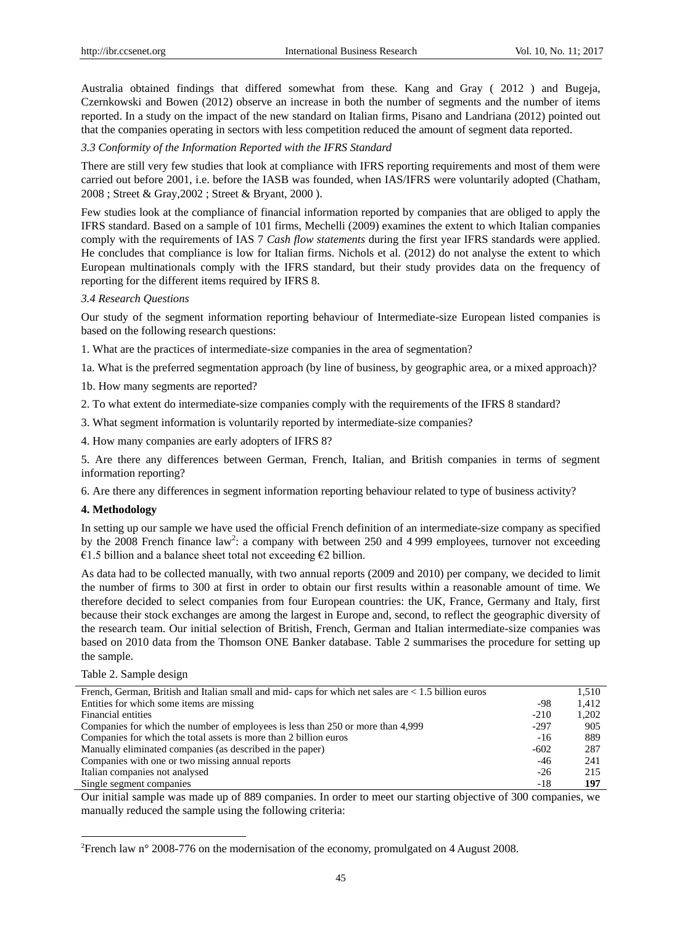Australia obtained findings that differed somewhat from these. Kang and Gray ( 2012 ) and Bugeja, Czernkowski and Bowen (2012) observe an increase in both the number of segments and the number of items reported. In a study on the impact of the new standard on Italian firms, Pisano and Landriana (2012) pointed out that the companies operating in sectors with less competition reduced the amount of segment data reported.

#### *3.3 Conformity of the Information Reported with the IFRS Standard*

There are still very few studies that look at compliance with IFRS reporting requirements and most of them were carried out before 2001, i.e. before the IASB was founded, when IAS/IFRS were voluntarily adopted (Chatham, 2008 ; Street & Gray,2002 ; Street & Bryant, 2000 ).

Few studies look at the compliance of financial information reported by companies that are obliged to apply the IFRS standard. Based on a sample of 101 firms, Mechelli (2009) examines the extent to which Italian companies comply with the requirements of IAS 7 *Cash flow statements* during the first year IFRS standards were applied. He concludes that compliance is low for Italian firms. Nichols et al. (2012) do not analyse the extent to which European multinationals comply with the IFRS standard, but their study provides data on the frequency of reporting for the different items required by IFRS 8.

#### *3.4 Research Questions*

Our study of the segment information reporting behaviour of Intermediate-size European listed companies is based on the following research questions:

1. What are the practices of intermediate-size companies in the area of segmentation?

1a. What is the preferred segmentation approach (by line of business, by geographic area, or a mixed approach)?

1b. How many segments are reported?

2. To what extent do intermediate-size companies comply with the requirements of the IFRS 8 standard?

3. What segment information is voluntarily reported by intermediate-size companies?

4. How many companies are early adopters of IFRS 8?

5. Are there any differences between German, French, Italian, and British companies in terms of segment information reporting?

6. Are there any differences in segment information reporting behaviour related to type of business activity?

#### **4. Methodology**

In setting up our sample we have used the official French definition of an intermediate-size company as specified by the 2008 French finance law<sup>2</sup>: a company with between 250 and 4 999 employees, turnover not exceeding €1.5 billion and a balance sheet total not exceeding €2 billion.

As data had to be collected manually, with two annual reports (2009 and 2010) per company, we decided to limit the number of firms to 300 at first in order to obtain our first results within a reasonable amount of time. We therefore decided to select companies from four European countries: the UK, France, Germany and Italy, first because their stock exchanges are among the largest in Europe and, second, to reflect the geographic diversity of the research team. Our initial selection of British, French, German and Italian intermediate-size companies was based on 2010 data from the Thomson ONE Banker database. Table 2 summarises the procedure for setting up the sample.

#### Table 2. Sample design

-

|        | 1.510 |
|--------|-------|
| -98    | 1.412 |
| $-210$ | 1,202 |
| $-297$ | 905   |
| -16    | 889   |
| $-602$ | 287   |
| $-46$  | 241   |
| $-26$  | 215   |
| -18    | 197   |
|        |       |

Our initial sample was made up of 889 companies. In order to meet our starting objective of 300 companies, we manually reduced the sample using the following criteria:

<sup>2</sup>French law n° 2008-776 on the modernisation of the economy, promulgated on 4 August 2008.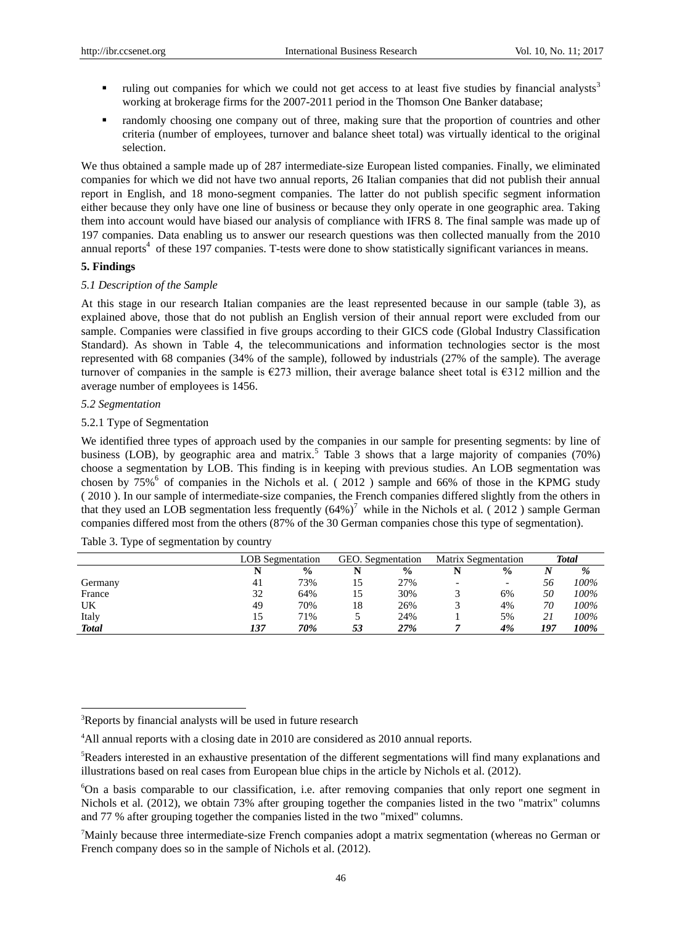- ruling out companies for which we could not get access to at least five studies by financial analysts<sup>3</sup> working at brokerage firms for the 2007-2011 period in the Thomson One Banker database;
- randomly choosing one company out of three, making sure that the proportion of countries and other criteria (number of employees, turnover and balance sheet total) was virtually identical to the original selection.

We thus obtained a sample made up of 287 intermediate-size European listed companies. Finally, we eliminated companies for which we did not have two annual reports, 26 Italian companies that did not publish their annual report in English, and 18 mono-segment companies. The latter do not publish specific segment information either because they only have one line of business or because they only operate in one geographic area. Taking them into account would have biased our analysis of compliance with IFRS 8. The final sample was made up of 197 companies. Data enabling us to answer our research questions was then collected manually from the 2010 annual reports<sup>4</sup> of these 197 companies. T-tests were done to show statistically significant variances in means.

#### **5. Findings**

#### *5.1 Description of the Sample*

At this stage in our research Italian companies are the least represented because in our sample (table 3), as explained above, those that do not publish an English version of their annual report were excluded from our sample. Companies were classified in five groups according to their GICS code (Global Industry Classification Standard). As shown in Table 4, the telecommunications and information technologies sector is the most represented with 68 companies (34% of the sample), followed by industrials (27% of the sample). The average turnover of companies in the sample is  $\epsilon$ 273 million, their average balance sheet total is  $\epsilon$ 312 million and the average number of employees is 1456.

#### *5.2 Segmentation*

-

## 5.2.1 Type of Segmentation

We identified three types of approach used by the companies in our sample for presenting segments: by line of business (LOB), by geographic area and matrix.<sup>5</sup> Table 3 shows that a large majority of companies (70%) choose a segmentation by LOB. This finding is in keeping with previous studies. An LOB segmentation was chosen by 75%<sup>6</sup> of companies in the Nichols et al. (2012) sample and 66% of those in the KPMG study ( 2010 ). In our sample of intermediate-size companies, the French companies differed slightly from the others in that they used an LOB segmentation less frequently  $(64%)^7$  while in the Nichols et al. (2012) sample German companies differed most from the others (87% of the 30 German companies chose this type of segmentation).

|              | <b>LOB</b> Segmentation |               | GEO. Segmentation |               | <b>Matrix Segmentation</b> |                          | Total |      |
|--------------|-------------------------|---------------|-------------------|---------------|----------------------------|--------------------------|-------|------|
|              |                         | $\frac{0}{0}$ |                   | $\frac{0}{0}$ |                            | $\frac{0}{0}$            |       | %    |
| Germany      |                         | 73%           |                   | 27%           |                            | $\overline{\phantom{0}}$ | 56    | 100% |
| France       | 32                      | 64%           |                   | 30%           |                            | 6%                       | 50    | 100% |
| UK           | 49                      | 70%           | 18                | 26%           |                            | 4%                       | 70    | 100% |
| Italy        | 15                      | 71%           |                   | 24%           |                            | 5%                       |       | 100% |
| <b>Total</b> | 137                     | 70%           | 53                | 27%           |                            | 4%                       | 197   | 100% |

|  |  | Table 3. Type of segmentation by country |  |
|--|--|------------------------------------------|--|
|  |  |                                          |  |

<sup>&</sup>lt;sup>3</sup>Reports by financial analysts will be used in future research

<sup>&</sup>lt;sup>4</sup>All annual reports with a closing date in 2010 are considered as 2010 annual reports.

<sup>5</sup>Readers interested in an exhaustive presentation of the different segmentations will find many explanations and illustrations based on real cases from European blue chips in the article by Nichols et al*.* (2012).

<sup>6</sup>On a basis comparable to our classification, i.e. after removing companies that only report one segment in Nichols et al. (2012), we obtain 73% after grouping together the companies listed in the two "matrix" columns and 77 % after grouping together the companies listed in the two "mixed" columns.

<sup>7</sup>Mainly because three intermediate-size French companies adopt a matrix segmentation (whereas no German or French company does so in the sample of Nichols et al. (2012).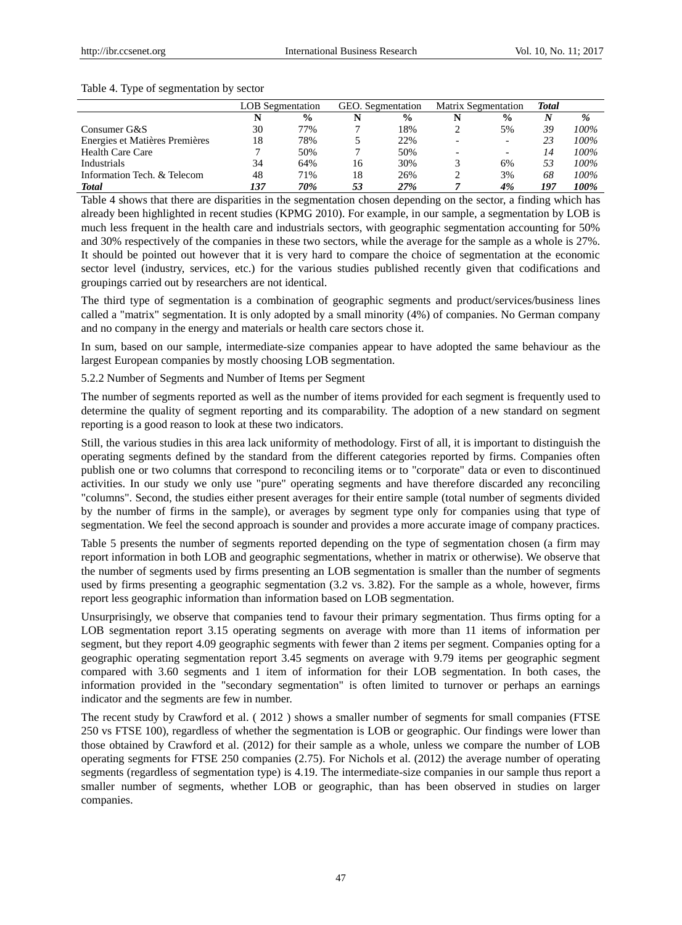#### Table 4. Type of segmentation by sector

|                                | <b>LOB</b> Segmentation |               | GEO. Segmentation |               | <b>Matrix Segmentation</b> |               | <b>Total</b> |      |
|--------------------------------|-------------------------|---------------|-------------------|---------------|----------------------------|---------------|--------------|------|
|                                |                         | $\frac{0}{0}$ |                   | $\frac{0}{0}$ |                            | $\frac{0}{0}$ |              | $\%$ |
| Consumer G&S                   | 30                      | 77%           |                   | 18%           |                            | 5%            | 39           | 100% |
| Energies et Matières Premières | 18                      | 78%           |                   | 22%           |                            |               | 23           | 100% |
| <b>Health Care Care</b>        |                         | 50%           |                   | 50%           |                            |               | 14           | 100% |
| Industrials                    | 34                      | 64%           | 16                | 30%           |                            | 6%            |              | 100% |
| Information Tech. & Telecom    | 48                      | 71%           | 18                | 26%           |                            | 3%            | 68           | 100% |
| <b>Total</b>                   | 137                     | 70%           | 53                | 27%           |                            | 4%            | 197          | 100% |

Table 4 shows that there are disparities in the segmentation chosen depending on the sector, a finding which has already been highlighted in recent studies (KPMG 2010). For example, in our sample, a segmentation by LOB is much less frequent in the health care and industrials sectors, with geographic segmentation accounting for 50% and 30% respectively of the companies in these two sectors, while the average for the sample as a whole is 27%. It should be pointed out however that it is very hard to compare the choice of segmentation at the economic sector level (industry, services, etc.) for the various studies published recently given that codifications and groupings carried out by researchers are not identical.

The third type of segmentation is a combination of geographic segments and product/services/business lines called a "matrix" segmentation. It is only adopted by a small minority (4%) of companies. No German company and no company in the energy and materials or health care sectors chose it.

In sum, based on our sample, intermediate-size companies appear to have adopted the same behaviour as the largest European companies by mostly choosing LOB segmentation.

5.2.2 Number of Segments and Number of Items per Segment

The number of segments reported as well as the number of items provided for each segment is frequently used to determine the quality of segment reporting and its comparability. The adoption of a new standard on segment reporting is a good reason to look at these two indicators.

Still, the various studies in this area lack uniformity of methodology. First of all, it is important to distinguish the operating segments defined by the standard from the different categories reported by firms. Companies often publish one or two columns that correspond to reconciling items or to "corporate" data or even to discontinued activities. In our study we only use "pure" operating segments and have therefore discarded any reconciling "columns". Second, the studies either present averages for their entire sample (total number of segments divided by the number of firms in the sample), or averages by segment type only for companies using that type of segmentation. We feel the second approach is sounder and provides a more accurate image of company practices.

Table 5 presents the number of segments reported depending on the type of segmentation chosen (a firm may report information in both LOB and geographic segmentations, whether in matrix or otherwise). We observe that the number of segments used by firms presenting an LOB segmentation is smaller than the number of segments used by firms presenting a geographic segmentation (3.2 vs. 3.82). For the sample as a whole, however, firms report less geographic information than information based on LOB segmentation.

Unsurprisingly, we observe that companies tend to favour their primary segmentation. Thus firms opting for a LOB segmentation report 3.15 operating segments on average with more than 11 items of information per segment, but they report 4.09 geographic segments with fewer than 2 items per segment. Companies opting for a geographic operating segmentation report 3.45 segments on average with 9.79 items per geographic segment compared with 3.60 segments and 1 item of information for their LOB segmentation. In both cases, the information provided in the "secondary segmentation" is often limited to turnover or perhaps an earnings indicator and the segments are few in number.

The recent study by Crawford et al. ( 2012 ) shows a smaller number of segments for small companies (FTSE 250 vs FTSE 100), regardless of whether the segmentation is LOB or geographic. Our findings were lower than those obtained by Crawford et al. (2012) for their sample as a whole, unless we compare the number of LOB operating segments for FTSE 250 companies (2.75). For Nichols et al. (2012) the average number of operating segments (regardless of segmentation type) is 4.19. The intermediate-size companies in our sample thus report a smaller number of segments, whether LOB or geographic, than has been observed in studies on larger companies.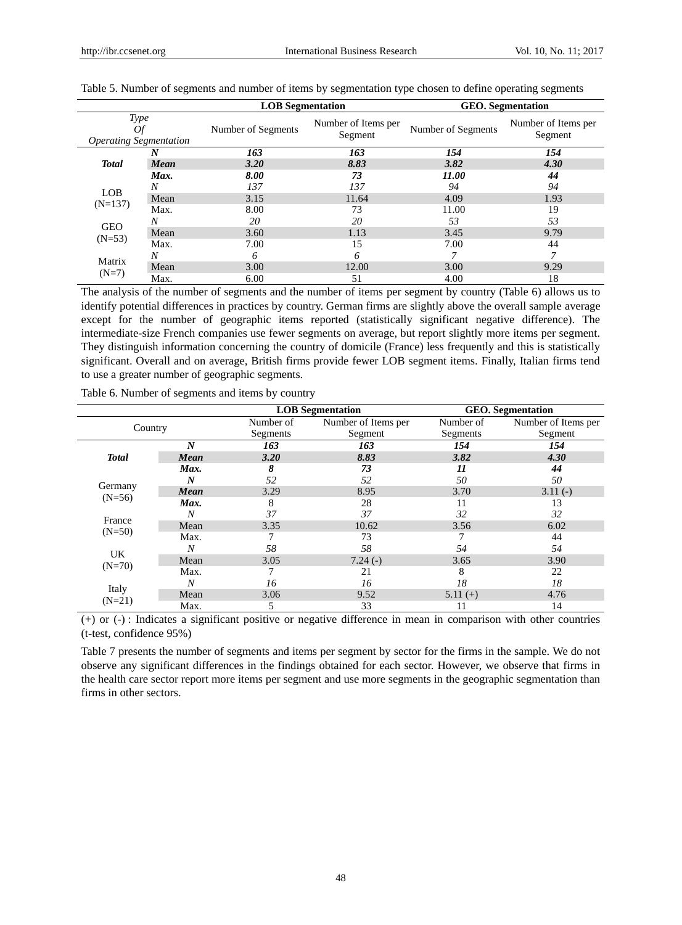|                                                    |      | <b>LOB</b> Segmentation | <b>GEO.</b> Segmentation       |                    |                                |
|----------------------------------------------------|------|-------------------------|--------------------------------|--------------------|--------------------------------|
| <b>Type</b><br>Οf<br><b>Operating Segmentation</b> |      | Number of Segments      | Number of Items per<br>Segment | Number of Segments | Number of Items per<br>Segment |
|                                                    | N    | 163                     | 163                            | 154                | 154                            |
| <b>Total</b>                                       | Mean | 3.20                    | 8.83                           | 3.82               | 4.30                           |
|                                                    | Max. | 8.00                    | 73                             | 11.00              | 44                             |
|                                                    | Ν    | 137                     | 137                            | 94                 | 94                             |
| <b>LOB</b>                                         | Mean | 3.15                    | 11.64                          | 4.09               | 1.93                           |
| $(N=137)$                                          | Max. | 8.00                    | 73                             | 11.00              | 19                             |
| <b>GEO</b>                                         | Ν    | 20                      | 20                             | 53                 | 53                             |
|                                                    | Mean | 3.60                    | 1.13                           | 3.45               | 9.79                           |
| $(N=53)$                                           | Max. | 7.00                    | 15                             | 7.00               | 44                             |
| Matrix                                             | N    | 6                       | 6                              |                    |                                |
|                                                    | Mean | 3.00                    | 12.00                          | 3.00               | 9.29                           |
| $(N=7)$                                            | Max. | 6.00                    | 51                             | 4.00               | 18                             |

| Table 5. Number of segments and number of items by segmentation type chosen to define operating segments |  |  |
|----------------------------------------------------------------------------------------------------------|--|--|
|                                                                                                          |  |  |

The analysis of the number of segments and the number of items per segment by country (Table 6) allows us to identify potential differences in practices by country. German firms are slightly above the overall sample average except for the number of geographic items reported (statistically significant negative difference). The intermediate-size French companies use fewer segments on average, but report slightly more items per segment. They distinguish information concerning the country of domicile (France) less frequently and this is statistically significant. Overall and on average, British firms provide fewer LOB segment items. Finally, Italian firms tend to use a greater number of geographic segments.

Table 6. Number of segments and items by country

|              |             |           | <b>LOB</b> Segmentation | <b>GEO.</b> Segmentation |                     |  |
|--------------|-------------|-----------|-------------------------|--------------------------|---------------------|--|
| Country      |             | Number of | Number of Items per     | Number of                | Number of Items per |  |
|              |             | Segments  | Segment                 | Segments                 | Segment             |  |
|              | N           | 163       | 163                     | 154                      | 154                 |  |
| <b>Total</b> | <b>Mean</b> | 3.20      | 8.83                    | 3.82                     | 4.30                |  |
|              | Max.        | 8         | 73                      | 11                       | 44                  |  |
|              |             | 52        | 52                      | 50                       | 50                  |  |
| Germany      | <b>Mean</b> | 3.29      | 8.95                    | 3.70                     | $3.11(-)$           |  |
| $(N=56)$     | Max.        | 8         | 28                      | 11                       | 13                  |  |
| France       | N           | 37        | 37                      | 32                       | 32                  |  |
| $(N=50)$     | Mean        | 3.35      | 10.62                   | 3.56                     | 6.02                |  |
|              | Max.        |           | 73                      |                          | 44                  |  |
| UK           | N           | 58        | 58                      | 54                       | 54                  |  |
| $(N=70)$     | Mean        | 3.05      | $7.24(-)$               | 3.65                     | 3.90                |  |
|              | Max.        |           | 21                      | 8                        | 22                  |  |
| Italy        | N           | 16        | 16                      | 18                       | 18                  |  |
| $(N=21)$     | Mean        | 3.06      | 9.52                    | $5.11(+)$                | 4.76                |  |
|              | Max.        |           | 33                      | 11                       | 14                  |  |

(+) or (-) : Indicates a significant positive or negative difference in mean in comparison with other countries (t-test, confidence 95%)

Table 7 presents the number of segments and items per segment by sector for the firms in the sample. We do not observe any significant differences in the findings obtained for each sector. However, we observe that firms in the health care sector report more items per segment and use more segments in the geographic segmentation than firms in other sectors.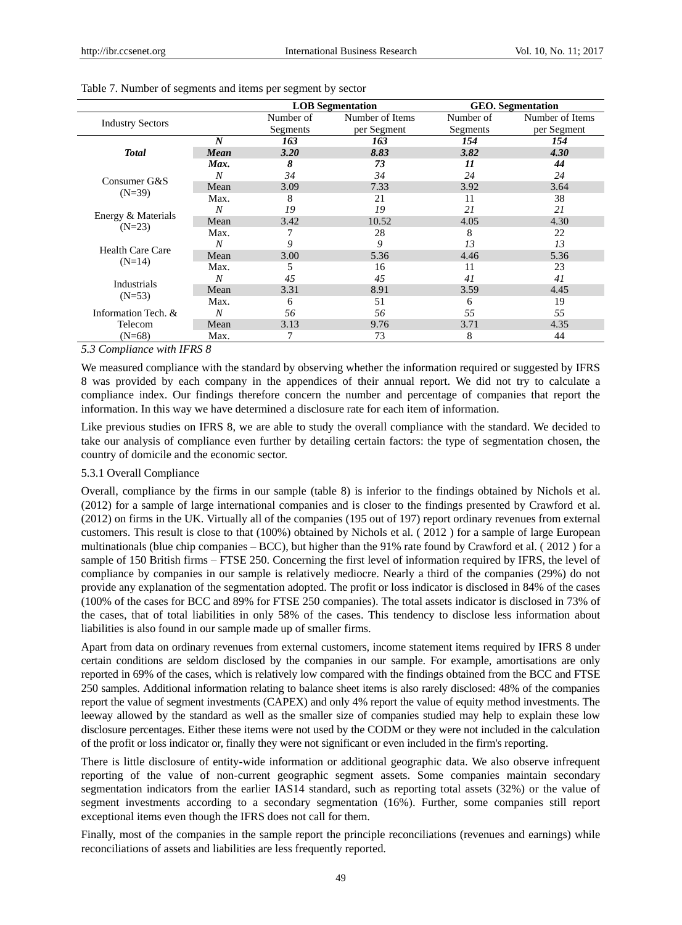|                         |                  | <b>LOB</b> Segmentation |                 |           | <b>GEO.</b> Segmentation |
|-------------------------|------------------|-------------------------|-----------------|-----------|--------------------------|
|                         |                  | Number of               | Number of Items | Number of | Number of Items          |
| <b>Industry Sectors</b> |                  | Segments                | per Segment     | Segments  | per Segment              |
|                         | $\boldsymbol{N}$ | 163                     | 163             | 154       | 154                      |
| <b>Total</b>            | Mean             | 3.20                    | 8.83            | 3.82      | 4.30                     |
|                         | Max.             | 8                       | 73              | 11        | 44                       |
| Consumer G&S            | N                | 34                      | 34              | 24        | 24                       |
| $(N=39)$                | Mean             | 3.09                    | 7.33            | 3.92      | 3.64                     |
|                         | Max.             | 8                       | 21              | 11        | 38                       |
| Energy & Materials      | N                | 19                      | 19              | 21        | 21                       |
|                         | Mean             | 3.42                    | 10.52           | 4.05      | 4.30                     |
| $(N=23)$                | Max.             |                         | 28              | 8         | 22                       |
| Health Care Care        | N                | 9                       | 9               | 13        | 13                       |
| $(N=14)$                | Mean             | 3.00                    | 5.36            | 4.46      | 5.36                     |
|                         | Max.             | 5                       | 16              | 11        | 23                       |
| Industrials             | N                | 45                      | 45              | 41        | 41                       |
| $(N=53)$                | Mean             | 3.31                    | 8.91            | 3.59      | 4.45                     |
|                         | Max.             | 6                       | 51              | 6         | 19                       |
| Information Tech. &     | N                | 56                      | 56              | 55        | 55                       |
| Telecom                 | Mean             | 3.13                    | 9.76            | 3.71      | 4.35                     |
| $(N=68)$                | Max.             | 7                       | 73              | 8         | 44                       |

#### Table 7. Number of segments and items per segment by sector

#### *5.3 Compliance with IFRS 8*

We measured compliance with the standard by observing whether the information required or suggested by IFRS 8 was provided by each company in the appendices of their annual report. We did not try to calculate a compliance index. Our findings therefore concern the number and percentage of companies that report the information. In this way we have determined a disclosure rate for each item of information.

Like previous studies on IFRS 8, we are able to study the overall compliance with the standard. We decided to take our analysis of compliance even further by detailing certain factors: the type of segmentation chosen, the country of domicile and the economic sector.

#### 5.3.1 Overall Compliance

Overall, compliance by the firms in our sample (table 8) is inferior to the findings obtained by Nichols et al. (2012) for a sample of large international companies and is closer to the findings presented by Crawford et al. (2012) on firms in the UK. Virtually all of the companies (195 out of 197) report ordinary revenues from external customers. This result is close to that (100%) obtained by Nichols et al. ( 2012 ) for a sample of large European multinationals (blue chip companies – BCC), but higher than the 91% rate found by Crawford et al. ( 2012 ) for a sample of 150 British firms – FTSE 250. Concerning the first level of information required by IFRS, the level of compliance by companies in our sample is relatively mediocre. Nearly a third of the companies (29%) do not provide any explanation of the segmentation adopted. The profit or loss indicator is disclosed in 84% of the cases (100% of the cases for BCC and 89% for FTSE 250 companies). The total assets indicator is disclosed in 73% of the cases, that of total liabilities in only 58% of the cases. This tendency to disclose less information about liabilities is also found in our sample made up of smaller firms.

Apart from data on ordinary revenues from external customers, income statement items required by IFRS 8 under certain conditions are seldom disclosed by the companies in our sample. For example, amortisations are only reported in 69% of the cases, which is relatively low compared with the findings obtained from the BCC and FTSE 250 samples. Additional information relating to balance sheet items is also rarely disclosed: 48% of the companies report the value of segment investments (CAPEX) and only 4% report the value of equity method investments. The leeway allowed by the standard as well as the smaller size of companies studied may help to explain these low disclosure percentages. Either these items were not used by the CODM or they were not included in the calculation of the profit or loss indicator or, finally they were not significant or even included in the firm's reporting.

There is little disclosure of entity-wide information or additional geographic data. We also observe infrequent reporting of the value of non-current geographic segment assets. Some companies maintain secondary segmentation indicators from the earlier IAS14 standard, such as reporting total assets (32%) or the value of segment investments according to a secondary segmentation (16%). Further, some companies still report exceptional items even though the IFRS does not call for them.

Finally, most of the companies in the sample report the principle reconciliations (revenues and earnings) while reconciliations of assets and liabilities are less frequently reported.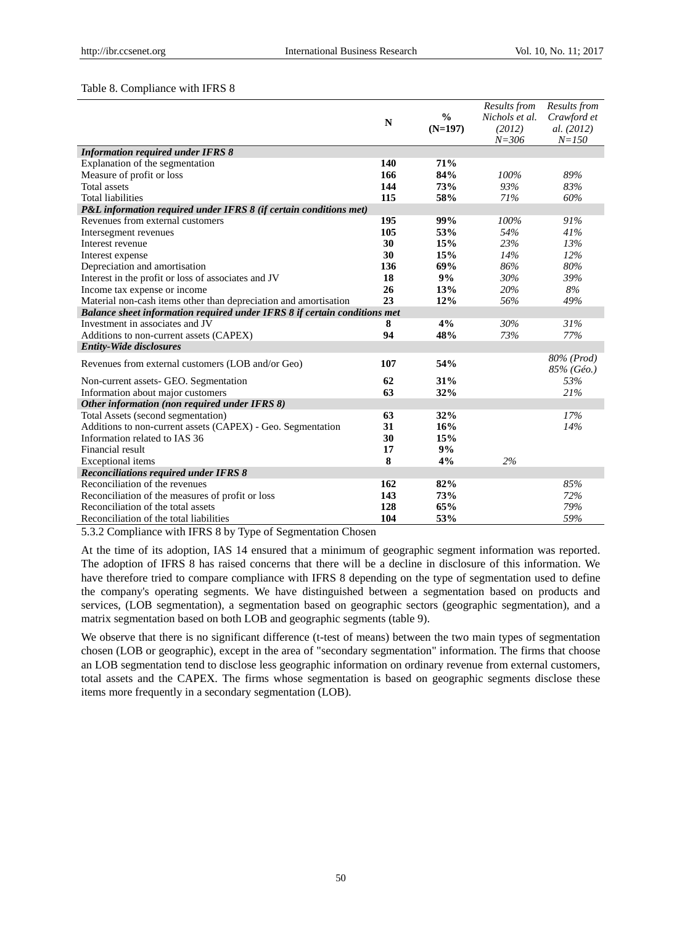#### Table 8. Compliance with IFRS 8

|                                                                           |             |               | Results from        | Results from                                |
|---------------------------------------------------------------------------|-------------|---------------|---------------------|---------------------------------------------|
|                                                                           | $\mathbf N$ | $\frac{0}{0}$ | Nichols et al.      | Crawford et                                 |
|                                                                           |             | $(N=197)$     | (2012)<br>$N = 306$ | al. (2012)<br>$N = 150$                     |
| <b>Information required under IFRS 8</b>                                  |             |               |                     |                                             |
| Explanation of the segmentation                                           | 140         | 71%           |                     |                                             |
| Measure of profit or loss                                                 | 166         | 84%           | 100%                | 89%                                         |
| <b>Total</b> assets                                                       | 144         | 73%           | 93%                 | 83%                                         |
| <b>Total liabilities</b>                                                  | 115         | 58%           | 71%                 | 60%                                         |
| P&L information required under IFRS 8 (if certain conditions met)         |             |               |                     |                                             |
| Revenues from external customers                                          | 195         | 99%           | 100%                | 91%                                         |
| Intersegment revenues                                                     | 105         | 53%           | 54%                 | 41%                                         |
| Interest revenue                                                          | 30          | 15%           | 23%                 | 13%                                         |
| Interest expense                                                          | 30          | 15%           | 14%                 | 12%                                         |
| Depreciation and amortisation                                             | 136         | 69%           | 86%                 | 80%                                         |
| Interest in the profit or loss of associates and JV                       | 18          | 9%            | 30%                 | 39%                                         |
| Income tax expense or income                                              | 26          | 13%           | 20%                 | 8%                                          |
| Material non-cash items other than depreciation and amortisation          | 23          | 12%           | 56%                 | 49%                                         |
| Balance sheet information required under IFRS 8 if certain conditions met |             |               |                     |                                             |
| Investment in associates and JV                                           | 8           | 4%            | 30%                 | 31%                                         |
| Additions to non-current assets (CAPEX)                                   | 94          | 48%           | 73%                 | 77%                                         |
| <b>Entity-Wide disclosures</b>                                            |             |               |                     |                                             |
| Revenues from external customers (LOB and/or Geo)                         | 107         | 54%           |                     | 80% (Prod)<br>$85\%$ (G $\acute{\omega}$ .) |
| Non-current assets- GEO. Segmentation                                     | 62          | 31%           |                     | 53%                                         |
| Information about major customers                                         | 63          | 32%           |                     | 21%                                         |
| Other information (non required under IFRS 8)                             |             |               |                     |                                             |
| Total Assets (second segmentation)                                        | 63          | 32%           |                     | 17%                                         |
| Additions to non-current assets (CAPEX) - Geo. Segmentation               | 31          | 16%           |                     | 14%                                         |
| Information related to IAS 36                                             | 30          | 15%           |                     |                                             |
| Financial result                                                          | 17          | 9%            |                     |                                             |
| Exceptional items                                                         | 8           | 4%            | 2%                  |                                             |
| <b>Reconciliations required under IFRS 8</b>                              |             |               |                     |                                             |
| Reconciliation of the revenues                                            | 162         | 82%           |                     | 85%                                         |
| Reconciliation of the measures of profit or loss                          | 143         | 73%           |                     | 72%                                         |
| Reconciliation of the total assets                                        | 128         | 65%           |                     | 79%                                         |
| Reconciliation of the total liabilities                                   | 104         | 53%           |                     | 59%                                         |

5.3.2 Compliance with IFRS 8 by Type of Segmentation Chosen

At the time of its adoption, IAS 14 ensured that a minimum of geographic segment information was reported. The adoption of IFRS 8 has raised concerns that there will be a decline in disclosure of this information. We have therefore tried to compare compliance with IFRS 8 depending on the type of segmentation used to define the company's operating segments. We have distinguished between a segmentation based on products and services, (LOB segmentation), a segmentation based on geographic sectors (geographic segmentation), and a matrix segmentation based on both LOB and geographic segments (table 9).

We observe that there is no significant difference (t-test of means) between the two main types of segmentation chosen (LOB or geographic), except in the area of "secondary segmentation" information. The firms that choose an LOB segmentation tend to disclose less geographic information on ordinary revenue from external customers, total assets and the CAPEX. The firms whose segmentation is based on geographic segments disclose these items more frequently in a secondary segmentation (LOB).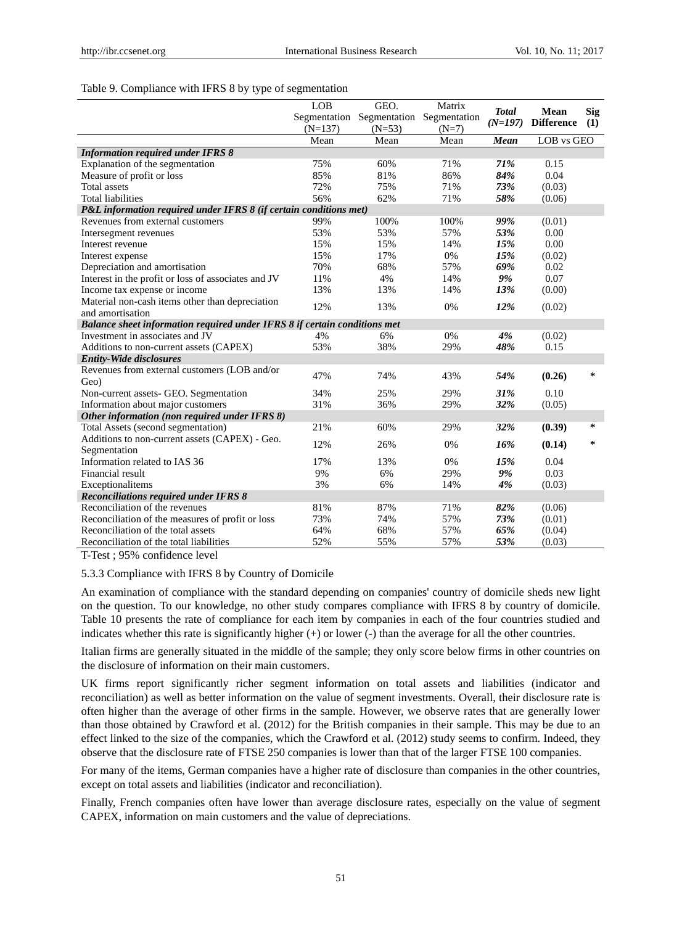#### Table 9. Compliance with IFRS 8 by type of segmentation

|                                                                           | LOB       | GEO.                                   | Matrix  |                           |                           |                   |
|---------------------------------------------------------------------------|-----------|----------------------------------------|---------|---------------------------|---------------------------|-------------------|
|                                                                           |           | Segmentation Segmentation Segmentation |         | <b>Total</b><br>$(N=197)$ | Mean<br><b>Difference</b> | <b>Sig</b><br>(1) |
|                                                                           | $(N=137)$ | $(N=53)$                               | $(N=7)$ |                           |                           |                   |
|                                                                           | Mean      | Mean                                   | Mean    | Mean                      | LOB vs GEO                |                   |
| <b>Information required under IFRS 8</b>                                  |           |                                        |         |                           |                           |                   |
| Explanation of the segmentation                                           | 75%       | 60%                                    | 71%     | 71%                       | 0.15                      |                   |
| Measure of profit or loss                                                 | 85%       | 81%                                    | 86%     | 84%                       | 0.04                      |                   |
| <b>Total</b> assets                                                       | 72%       | 75%                                    | 71%     | 73%                       | (0.03)                    |                   |
| <b>Total liabilities</b>                                                  | 56%       | 62%                                    | 71%     | 58%                       | (0.06)                    |                   |
| P&L information required under IFRS 8 (if certain conditions met)         |           |                                        |         |                           |                           |                   |
| Revenues from external customers                                          | 99%       | 100%                                   | 100%    | 99%                       | (0.01)                    |                   |
| Intersegment revenues                                                     | 53%       | 53%                                    | 57%     | 53%                       | 0.00                      |                   |
| Interest revenue                                                          | 15%       | 15%                                    | 14%     | 15%                       | 0.00                      |                   |
| Interest expense                                                          | 15%       | 17%                                    | 0%      | 15%                       | (0.02)                    |                   |
| Depreciation and amortisation                                             | 70%       | 68%                                    | 57%     | 69%                       | 0.02                      |                   |
| Interest in the profit or loss of associates and JV                       | 11%       | 4%                                     | 14%     | 9%                        | 0.07                      |                   |
| Income tax expense or income                                              | 13%       | 13%                                    | 14%     | 13%                       | (0.00)                    |                   |
| Material non-cash items other than depreciation                           | 12%       | 13%                                    | 0%      | 12%                       | (0.02)                    |                   |
| and amortisation                                                          |           |                                        |         |                           |                           |                   |
| Balance sheet information required under IFRS 8 if certain conditions met |           |                                        |         |                           |                           |                   |
| Investment in associates and JV                                           | 4%        | 6%                                     | 0%      | 4%                        | (0.02)                    |                   |
| Additions to non-current assets (CAPEX)                                   | 53%       | 38%                                    | 29%     | 48%                       | 0.15                      |                   |
| <b>Entity-Wide disclosures</b>                                            |           |                                        |         |                           |                           |                   |
| Revenues from external customers (LOB and/or<br>Geo)                      | 47%       | 74%                                    | 43%     | 54%                       | (0.26)                    | $\ast$            |
| Non-current assets- GEO. Segmentation                                     | 34%       | 25%                                    | 29%     | 31%                       | 0.10                      |                   |
| Information about major customers                                         | 31%       | 36%                                    | 29%     | 32%                       | (0.05)                    |                   |
| Other information (non required under IFRS 8)                             |           |                                        |         |                           |                           |                   |
| Total Assets (second segmentation)                                        | 21%       | 60%                                    | 29%     | 32%                       | (0.39)                    | *                 |
| Additions to non-current assets (CAPEX) - Geo.                            |           |                                        |         |                           |                           |                   |
| Segmentation                                                              | 12%       | 26%                                    | 0%      | 16%                       | (0.14)                    | *                 |
| Information related to IAS 36                                             | 17%       | 13%                                    | 0%      | 15%                       | 0.04                      |                   |
| Financial result                                                          | 9%        | 6%                                     | 29%     | 9%                        | 0.03                      |                   |
| Exceptionalitems                                                          | 3%        | 6%                                     | 14%     | 4%                        | (0.03)                    |                   |
| <b>Reconciliations required under IFRS 8</b>                              |           |                                        |         |                           |                           |                   |
| Reconciliation of the revenues                                            | 81%       | 87%                                    | 71%     | 82%                       | (0.06)                    |                   |
| Reconciliation of the measures of profit or loss                          | 73%       | 74%                                    | 57%     | 73%                       | (0.01)                    |                   |
| Reconciliation of the total assets                                        | 64%       | 68%                                    | 57%     | 65%                       | (0.04)                    |                   |
| Reconciliation of the total liabilities                                   | 52%       | 55%                                    | 57%     | 53%                       | (0.03)                    |                   |

T-Test ; 95% confidence level

#### 5.3.3 Compliance with IFRS 8 by Country of Domicile

An examination of compliance with the standard depending on companies' country of domicile sheds new light on the question. To our knowledge, no other study compares compliance with IFRS 8 by country of domicile. Table 10 presents the rate of compliance for each item by companies in each of the four countries studied and indicates whether this rate is significantly higher (+) or lower (-) than the average for all the other countries.

Italian firms are generally situated in the middle of the sample; they only score below firms in other countries on the disclosure of information on their main customers.

UK firms report significantly richer segment information on total assets and liabilities (indicator and reconciliation) as well as better information on the value of segment investments. Overall, their disclosure rate is often higher than the average of other firms in the sample. However, we observe rates that are generally lower than those obtained by Crawford et al. (2012) for the British companies in their sample. This may be due to an effect linked to the size of the companies, which the Crawford et al. (2012) study seems to confirm. Indeed, they observe that the disclosure rate of FTSE 250 companies is lower than that of the larger FTSE 100 companies.

For many of the items, German companies have a higher rate of disclosure than companies in the other countries, except on total assets and liabilities (indicator and reconciliation).

Finally, French companies often have lower than average disclosure rates, especially on the value of segment CAPEX, information on main customers and the value of depreciations.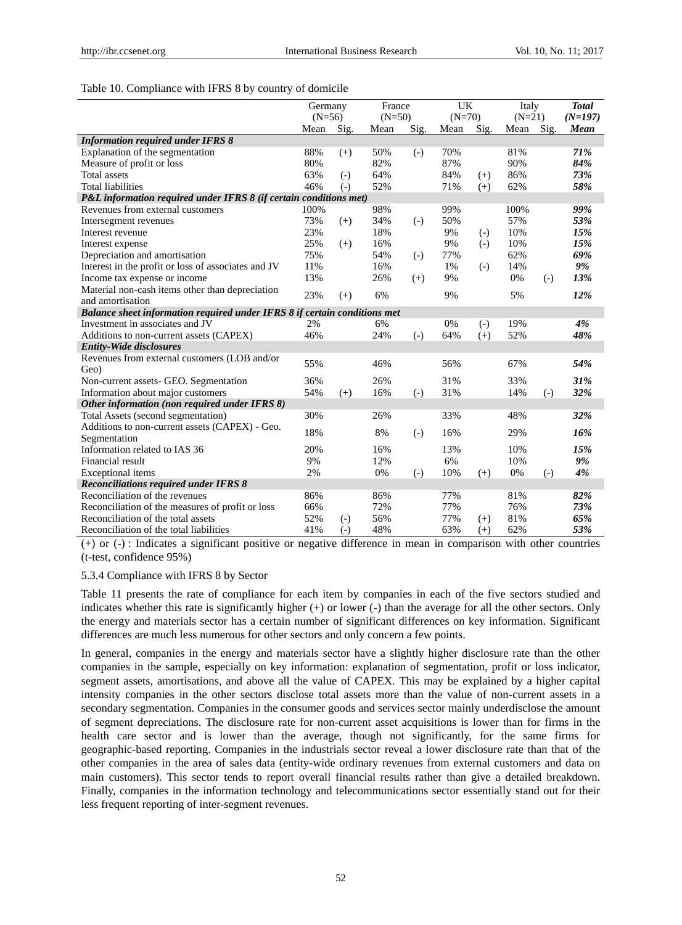#### Table 10. Compliance with IFRS 8 by country of domicile

|                                                                           | Germany  |                   | France   |                   | <b>UK</b> |                   | Italy    | <b>Total</b>      |             |
|---------------------------------------------------------------------------|----------|-------------------|----------|-------------------|-----------|-------------------|----------|-------------------|-------------|
|                                                                           | $(N=56)$ |                   | $(N=50)$ |                   | $(N=70)$  |                   | $(N=21)$ |                   | $(N=197)$   |
|                                                                           | Mean     | Sig.              | Mean     | Sig.              | Mean      | Sig.              | Mean     | Sig.              | <b>Mean</b> |
| <b>Information required under IFRS 8</b>                                  |          |                   |          |                   |           |                   |          |                   |             |
| Explanation of the segmentation                                           | 88%      | $(+)$             | 50%      | $(-)$             | 70%       |                   | 81%      |                   | 71%         |
| Measure of profit or loss                                                 | 80%      |                   | 82%      |                   | 87%       |                   | 90%      |                   | 84%         |
| <b>Total</b> assets                                                       | 63%      | $(-)$             | 64%      |                   | 84%       | $(+)$             | 86%      |                   | 73%         |
| <b>Total liabilities</b>                                                  | 46%      | $(-)$             | 52%      |                   | 71%       | $(+)$             | 62%      |                   | 58%         |
| P&L information required under IFRS 8 (if certain conditions met)         |          |                   |          |                   |           |                   |          |                   |             |
| Revenues from external customers                                          | 100%     |                   | 98%      |                   | 99%       |                   | 100%     |                   | 99%         |
| Intersegment revenues                                                     | 73%      | $(+)$             | 34%      | $(-)$             | 50%       |                   | 57%      |                   | 53%         |
| Interest revenue                                                          | 23%      |                   | 18%      |                   | 9%        | $(-)$             | 10%      |                   | 15%         |
| Interest expense                                                          | 25%      | $(+)$             | 16%      |                   | 9%        | $\left( -\right)$ | 10%      |                   | 15%         |
| Depreciation and amortisation                                             | 75%      |                   | 54%      | $\left( -\right)$ | 77%       |                   | 62%      |                   | 69%         |
| Interest in the profit or loss of associates and JV                       | 11%      |                   | 16%      |                   | 1%        | $\left( -\right)$ | 14%      |                   | 9%          |
| Income tax expense or income                                              | 13%      |                   | 26%      | $(+)$             | 9%        |                   | 0%       | $(-)$             | 13%         |
| Material non-cash items other than depreciation                           | 23%      | $(+)$             | 6%       |                   | 9%        |                   | 5%       |                   | 12%         |
| and amortisation                                                          |          |                   |          |                   |           |                   |          |                   |             |
| Balance sheet information required under IFRS 8 if certain conditions met |          |                   |          |                   |           |                   |          |                   |             |
| Investment in associates and JV                                           | 2%       |                   | 6%       |                   | 0%        | $(-)$             | 19%      |                   | 4%          |
| Additions to non-current assets (CAPEX)                                   | 46%      |                   | 24%      | $(-)$             | 64%       | $(+)$             | 52%      |                   | 48%         |
| <b>Entity-Wide disclosures</b>                                            |          |                   |          |                   |           |                   |          |                   |             |
| Revenues from external customers (LOB and/or                              | 55%      |                   | 46%      |                   | 56%       |                   | 67%      |                   | 54%         |
| Geo)                                                                      |          |                   |          |                   |           |                   |          |                   |             |
| Non-current assets- GEO. Segmentation                                     | 36%      |                   | 26%      |                   | 31%       |                   | 33%      |                   | 31%         |
| Information about major customers                                         | 54%      | $(+)$             | 16%      | $\left( -\right)$ | 31%       |                   | 14%      | $\left( -\right)$ | 32%         |
| Other information (non required under IFRS 8)                             |          |                   |          |                   |           |                   |          |                   |             |
| Total Assets (second segmentation)                                        | 30%      |                   | 26%      |                   | 33%       |                   | 48%      |                   | 32%         |
| Additions to non-current assets (CAPEX) - Geo.                            | 18%      |                   | 8%       | $\left( -\right)$ | 16%       |                   | 29%      |                   | 16%         |
| Segmentation                                                              |          |                   |          |                   |           |                   |          |                   |             |
| Information related to IAS 36                                             | 20%      |                   | 16%      |                   | 13%       |                   | 10%      |                   | 15%         |
| Financial result                                                          | 9%       |                   | 12%      |                   | 6%        |                   | 10%      |                   | 9%          |
| Exceptional items                                                         | 2%       |                   | 0%       | $\left( -\right)$ | 10%       | $(+)$             | 0%       | $(-)$             | 4%          |
| <b>Reconciliations required under IFRS 8</b>                              |          |                   |          |                   |           |                   |          |                   |             |
| Reconciliation of the revenues                                            | 86%      |                   | 86%      |                   | 77%       |                   | 81%      |                   | 82%         |
| Reconciliation of the measures of profit or loss                          | 66%      |                   | 72%      |                   | 77%       |                   | 76%      |                   | 73%         |
| Reconciliation of the total assets                                        | 52%      | $\left( -\right)$ | 56%      |                   | 77%       | $(+)$             | 81%      |                   | 65%         |
| Reconciliation of the total liabilities                                   | 41%      | $(-)$             | 48%      |                   | 63%       | $(+)$             | 62%      |                   | 53%         |

(+) or (-) : Indicates a significant positive or negative difference in mean in comparison with other countries (t-test, confidence 95%)

#### 5.3.4 Compliance with IFRS 8 by Sector

Table 11 presents the rate of compliance for each item by companies in each of the five sectors studied and indicates whether this rate is significantly higher  $(+)$  or lower  $(-)$  than the average for all the other sectors. Only the energy and materials sector has a certain number of significant differences on key information. Significant differences are much less numerous for other sectors and only concern a few points.

In general, companies in the energy and materials sector have a slightly higher disclosure rate than the other companies in the sample, especially on key information: explanation of segmentation, profit or loss indicator, segment assets, amortisations, and above all the value of CAPEX. This may be explained by a higher capital intensity companies in the other sectors disclose total assets more than the value of non-current assets in a secondary segmentation. Companies in the consumer goods and services sector mainly underdisclose the amount of segment depreciations. The disclosure rate for non-current asset acquisitions is lower than for firms in the health care sector and is lower than the average, though not significantly, for the same firms for geographic-based reporting. Companies in the industrials sector reveal a lower disclosure rate than that of the other companies in the area of sales data (entity-wide ordinary revenues from external customers and data on main customers). This sector tends to report overall financial results rather than give a detailed breakdown. Finally, companies in the information technology and telecommunications sector essentially stand out for their less frequent reporting of inter-segment revenues.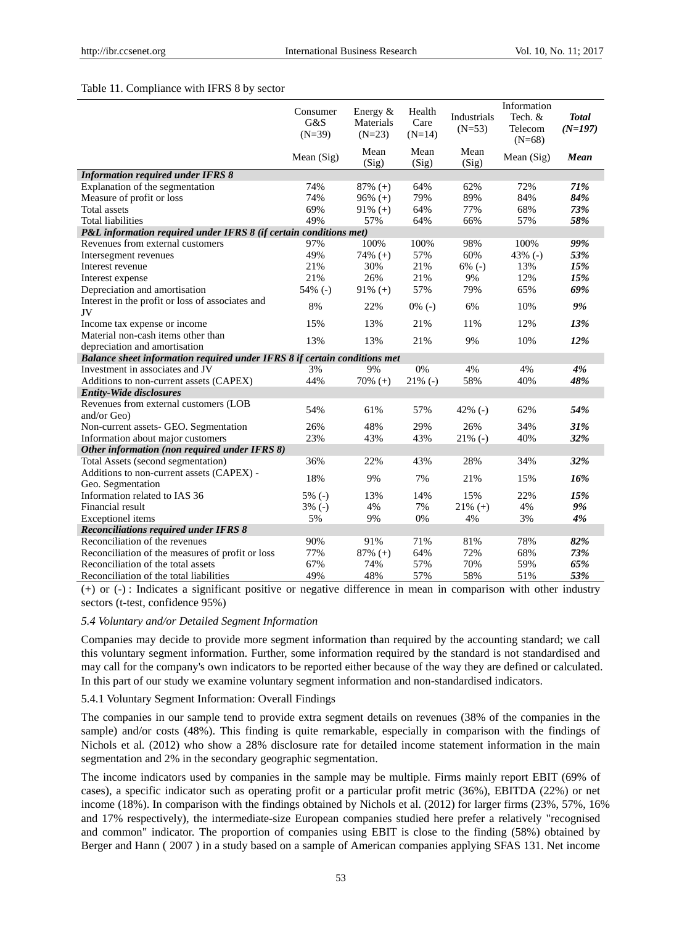#### Table 11. Compliance with IFRS 8 by sector

|                                                                           | Consumer<br>G&S<br>$(N=39)$ | Energy &<br>Materials<br>$(N=23)$ | Health<br>Care<br>$(N=14)$ | Industrials<br>$(N=53)$ | Information<br>Tech. &<br>Telecom<br>$(N=68)$ | <b>Total</b><br>$(N=197)$ |
|---------------------------------------------------------------------------|-----------------------------|-----------------------------------|----------------------------|-------------------------|-----------------------------------------------|---------------------------|
|                                                                           | Mean $(Sig)$                | Mean<br>(Sig)                     | Mean<br>(Sig)              | Mean<br>(Sig)           | Mean $(Sig)$                                  | Mean                      |
| <b>Information required under IFRS 8</b>                                  |                             |                                   |                            |                         |                                               |                           |
| Explanation of the segmentation                                           | 74%                         | $87\% (+)$                        | 64%                        | 62%                     | 72%                                           | 71%                       |
| Measure of profit or loss                                                 | 74%                         | $96\% (+)$                        | 79%                        | 89%                     | 84%                                           | 84%                       |
| <b>Total</b> assets                                                       | 69%                         | $91\% (+)$                        | 64%                        | 77%                     | 68%                                           | 73%                       |
| <b>Total liabilities</b>                                                  | 49%                         | 57%                               | 64%                        | 66%                     | 57%                                           | 58%                       |
| P&L information required under IFRS 8 (if certain conditions met)         |                             |                                   |                            |                         |                                               |                           |
| Revenues from external customers                                          | 97%                         | 100%                              | 100%                       | 98%                     | 100%                                          | 99%                       |
| Intersegment revenues                                                     | 49%                         | $74\% (+)$                        | 57%                        | 60%                     | 43% $(-)$                                     | 53%                       |
| Interest revenue                                                          | 21%                         | 30%                               | 21%                        | $6\%$ (-)               | 13%                                           | 15%                       |
| Interest expense                                                          | 21%                         | 26%                               | 21%                        | 9%                      | 12%                                           | 15%                       |
| Depreciation and amortisation                                             | 54% (-)                     | $91\% (+)$                        | 57%                        | 79%                     | 65%                                           | 69%                       |
| Interest in the profit or loss of associates and<br>JV                    | 8%                          | 22%                               | $0\%$ (-)                  | 6%                      | 10%                                           | 9%                        |
| Income tax expense or income                                              | 15%                         | 13%                               | 21%                        | 11%                     | 12%                                           | 13%                       |
| Material non-cash items other than                                        |                             |                                   |                            |                         |                                               |                           |
| depreciation and amortisation                                             | 13%                         | 13%                               | 21%                        | 9%                      | 10%                                           | 12%                       |
| Balance sheet information required under IFRS 8 if certain conditions met |                             |                                   |                            |                         |                                               |                           |
| Investment in associates and JV                                           | 3%                          | 9%                                | 0%                         | 4%                      | 4%                                            | 4%                        |
| Additions to non-current assets (CAPEX)                                   | 44%                         | $70\% (+)$                        | $21\%$ (-)                 | 58%                     | 40%                                           | 48%                       |
| <b>Entity-Wide disclosures</b>                                            |                             |                                   |                            |                         |                                               |                           |
| Revenues from external customers (LOB<br>and/or Geo)                      | 54%                         | 61%                               | 57%                        | 42% $(-)$               | 62%                                           | 54%                       |
| Non-current assets- GEO. Segmentation                                     | 26%                         | 48%                               | 29%                        | 26%                     | 34%                                           | 31%                       |
| Information about major customers                                         | 23%                         | 43%                               | 43%                        | $21\%$ (-)              | 40%                                           | 32%                       |
| Other information (non required under IFRS 8)                             |                             |                                   |                            |                         |                                               |                           |
| Total Assets (second segmentation)                                        | 36%                         | 22%                               | 43%                        | 28%                     | 34%                                           | 32%                       |
| Additions to non-current assets (CAPEX) -                                 |                             |                                   |                            |                         |                                               |                           |
| Geo. Segmentation                                                         | 18%                         | 9%                                | 7%                         | 21%                     | 15%                                           | 16%                       |
| Information related to IAS 36                                             | $5\%$ (-)                   | 13%                               | 14%                        | 15%                     | 22%                                           | 15%                       |
| Financial result                                                          | $3\%$ (-)                   | 4%                                | 7%                         | $21\% (+)$              | 4%                                            | 9%                        |
| Exceptionel items                                                         | 5%                          | 9%                                | 0%                         | 4%                      | 3%                                            | 4%                        |
| <b>Reconciliations required under IFRS 8</b>                              |                             |                                   |                            |                         |                                               |                           |
| Reconciliation of the revenues                                            | 90%                         | 91%                               | 71%                        | 81%                     | 78%                                           | 82%                       |
| Reconciliation of the measures of profit or loss                          | 77%                         | $87\%$ (+)                        | 64%                        | 72%                     | 68%                                           | 73%                       |
| Reconciliation of the total assets                                        | 67%                         | 74%                               | 57%                        | 70%                     | 59%                                           | 65%                       |
| Reconciliation of the total liabilities                                   | 49%                         | 48%                               | 57%                        | 58%                     | 51%                                           | 53%                       |

(+) or (-) : Indicates a significant positive or negative difference in mean in comparison with other industry sectors (t-test, confidence 95%)

#### *5.4 Voluntary and/or Detailed Segment Information*

Companies may decide to provide more segment information than required by the accounting standard; we call this voluntary segment information. Further, some information required by the standard is not standardised and may call for the company's own indicators to be reported either because of the way they are defined or calculated. In this part of our study we examine voluntary segment information and non-standardised indicators.

#### 5.4.1 Voluntary Segment Information: Overall Findings

The companies in our sample tend to provide extra segment details on revenues (38% of the companies in the sample) and/or costs (48%). This finding is quite remarkable, especially in comparison with the findings of Nichols et al*.* (2012) who show a 28% disclosure rate for detailed income statement information in the main segmentation and 2% in the secondary geographic segmentation.

The income indicators used by companies in the sample may be multiple. Firms mainly report EBIT (69% of cases), a specific indicator such as operating profit or a particular profit metric (36%), EBITDA (22%) or net income (18%). In comparison with the findings obtained by Nichols et al. (2012) for larger firms (23%, 57%, 16% and 17% respectively), the intermediate-size European companies studied here prefer a relatively "recognised and common" indicator. The proportion of companies using EBIT is close to the finding (58%) obtained by Berger and Hann ( 2007 ) in a study based on a sample of American companies applying SFAS 131. Net income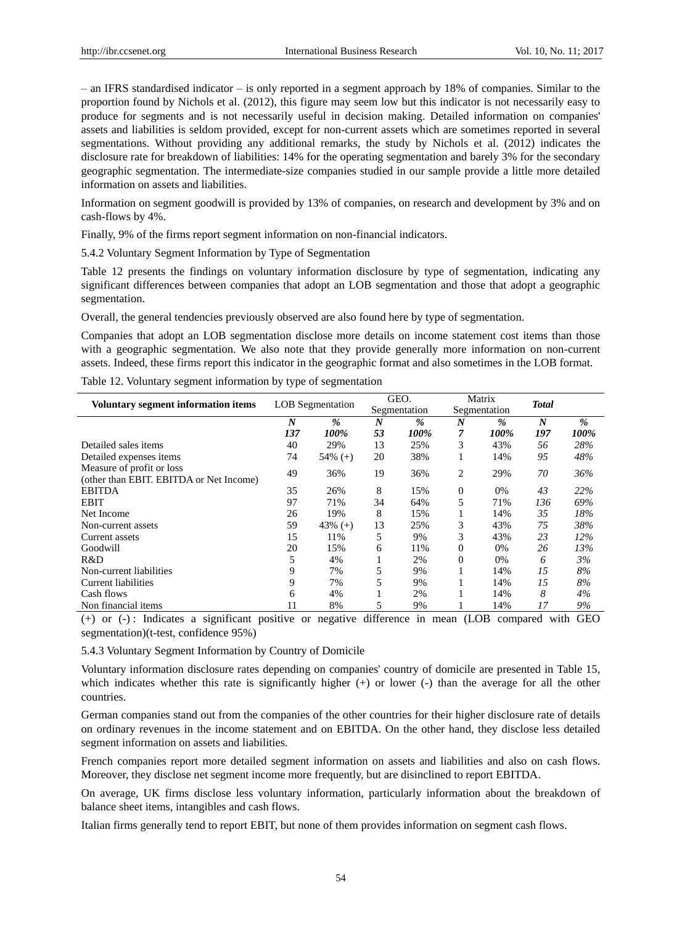– an IFRS standardised indicator – is only reported in a segment approach by 18% of companies. Similar to the proportion found by Nichols et al. (2012), this figure may seem low but this indicator is not necessarily easy to produce for segments and is not necessarily useful in decision making. Detailed information on companies' assets and liabilities is seldom provided, except for non-current assets which are sometimes reported in several segmentations. Without providing any additional remarks, the study by Nichols et al. (2012) indicates the disclosure rate for breakdown of liabilities: 14% for the operating segmentation and barely 3% for the secondary geographic segmentation. The intermediate-size companies studied in our sample provide a little more detailed information on assets and liabilities.

Information on segment goodwill is provided by 13% of companies, on research and development by 3% and on cash-flows by 4%.

Finally, 9% of the firms report segment information on non-financial indicators.

5.4.2 Voluntary Segment Information by Type of Segmentation

Table 12 presents the findings on voluntary information disclosure by type of segmentation, indicating any significant differences between companies that adopt an LOB segmentation and those that adopt a geographic segmentation.

Overall, the general tendencies previously observed are also found here by type of segmentation.

Companies that adopt an LOB segmentation disclose more details on income statement cost items than those with a geographic segmentation. We also note that they provide generally more information on non-current assets. Indeed, these firms report this indicator in the geographic format and also sometimes in the LOB format.

|                                                                      |                  |                         |                  | GEO.         |                  | Matrix        | <b>Total</b>     |               |
|----------------------------------------------------------------------|------------------|-------------------------|------------------|--------------|------------------|---------------|------------------|---------------|
| <b>Voluntary segment information items</b>                           |                  | <b>LOB</b> Segmentation |                  | Segmentation |                  | Segmentation  |                  |               |
|                                                                      | $\boldsymbol{N}$ | $\frac{9}{6}$           | $\boldsymbol{N}$ | %            | $\boldsymbol{N}$ | $\frac{9}{6}$ | $\boldsymbol{N}$ | $\frac{9}{6}$ |
|                                                                      | 137              | 100%                    | 53               | 100%         | 7                | 100%          | 197              | 100%          |
| Detailed sales items                                                 | 40               | 29%                     | 13               | 25%          | 3                | 43%           | 56               | 28%           |
| Detailed expenses items                                              | 74               | $54\%$ (+)              | 20               | 38%          |                  | 14%           | 95               | 48%           |
| Measure of profit or loss<br>(other than EBIT. EBITDA or Net Income) | 49               | 36%                     | 19               | 36%          | 2                | 29%           | 70               | 36%           |
| <b>EBITDA</b>                                                        | 35               | 26%                     | 8                | 15%          | 0                | 0%            | 43               | 22%           |
| <b>EBIT</b>                                                          | 97               | 71%                     | 34               | 64%          | 5                | 71%           | 136              | 69%           |
| Net Income                                                           | 26               | 19%                     | 8                | 15%          |                  | 14%           | 35               | 18%           |
| Non-current assets                                                   | 59               | 43% $(+)$               | 13               | 25%          | 3                | 43%           | 75               | 38%           |
| Current assets                                                       | 15               | 11%                     | 5                | 9%           | 3                | 43%           | 23               | 12%           |
| Goodwill                                                             | 20               | 15%                     | 6                | 11%          | 0                | 0%            | 26               | 13%           |
| R&D                                                                  | 5                | 4%                      |                  | 2%           | $\overline{0}$   | 0%            | 6                | 3%            |
| Non-current liabilities                                              | 9                | 7%                      | 5                | 9%           |                  | 14%           | 15               | 8%            |
| Current liabilities                                                  | 9                | 7%                      | 5                | 9%           |                  | 14%           | 15               | 8%            |
| Cash flows                                                           | 6                | 4%                      |                  | 2%           |                  | 14%           | 8                | 4%            |
| Non financial items                                                  | 11               | 8%                      | 5                | 9%           |                  | 14%           | 17               | 9%            |

Table 12. Voluntary segment information by type of segmentation

(+) or (-) : Indicates a significant positive or negative difference in mean (LOB compared with GEO segmentation)(t-test, confidence 95%)

5.4.3 Voluntary Segment Information by Country of Domicile

Voluntary information disclosure rates depending on companies' country of domicile are presented in Table 15, which indicates whether this rate is significantly higher (+) or lower (-) than the average for all the other countries.

German companies stand out from the companies of the other countries for their higher disclosure rate of details on ordinary revenues in the income statement and on EBITDA. On the other hand, they disclose less detailed segment information on assets and liabilities.

French companies report more detailed segment information on assets and liabilities and also on cash flows. Moreover, they disclose net segment income more frequently, but are disinclined to report EBITDA.

On average, UK firms disclose less voluntary information, particularly information about the breakdown of balance sheet items, intangibles and cash flows.

Italian firms generally tend to report EBIT, but none of them provides information on segment cash flows.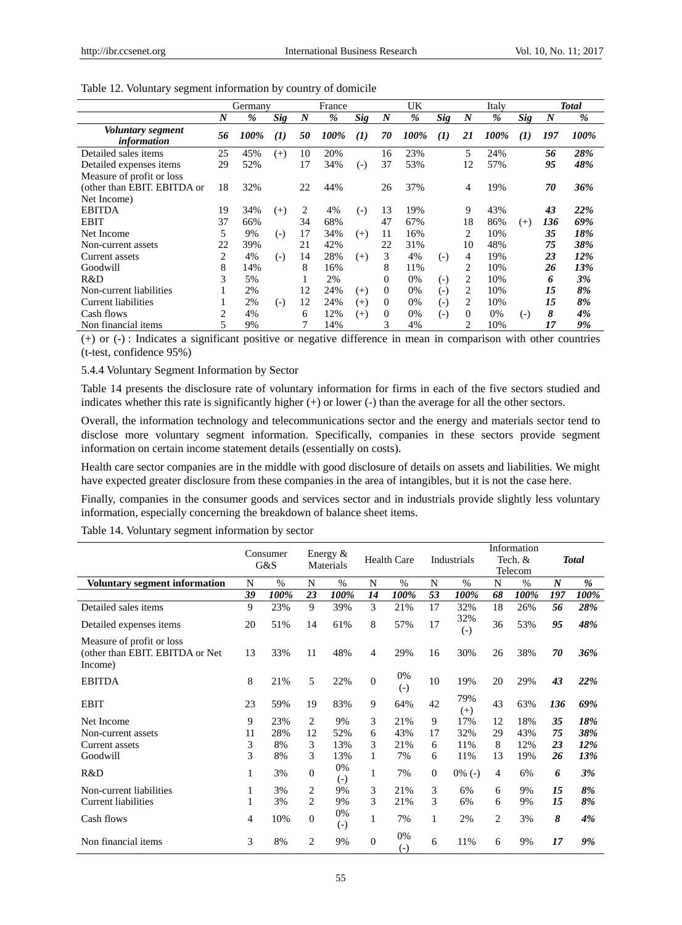|                                         |                | Germany       | France     |                  |      | UK       |                  |       |                    | Italy          | <b>Total</b> |            |                  |      |
|-----------------------------------------|----------------|---------------|------------|------------------|------|----------|------------------|-------|--------------------|----------------|--------------|------------|------------------|------|
|                                         | N              | $\frac{9}{6}$ | <b>Sig</b> | $\boldsymbol{N}$ | %    | Sig      | $\boldsymbol{N}$ | %     | <b>Sig</b>         | N              | %            | <b>Sig</b> | $\boldsymbol{N}$ | %    |
| Voluntary segment<br><i>information</i> | 56             | 100%          | $\bf(1)$   | 50               | 100% | $\bf(1)$ | 70               | 100%  | (I)                | 21             | 100%         | (1)        | 197              | 100% |
| Detailed sales items                    | 25             | 45%           | $^{(+)}$   | 10               | 20%  |          | 16               | 23%   |                    | 5              | 24%          |            | 56               | 28%  |
| Detailed expenses items                 | 29             | 52%           |            | 17               | 34%  | $(-)$    | 37               | 53%   |                    | 12             | 57%          |            | 95               | 48%  |
| Measure of profit or loss               |                |               |            |                  |      |          |                  |       |                    |                |              |            |                  |      |
| (other than EBIT. EBITDA or             | 18             | 32%           |            | 22               | 44%  |          | 26               | 37%   |                    | 4              | 19%          |            | 70               | 36%  |
| Net Income)                             |                |               |            |                  |      |          |                  |       |                    |                |              |            |                  |      |
| <b>EBITDA</b>                           | 19             | 34%           | $(+)$      | 2                | 4%   | $(-)$    | 13               | 19%   |                    | 9              | 43%          |            | 43               | 22%  |
| <b>EBIT</b>                             | 37             | 66%           |            | 34               | 68%  |          | 47               | 67%   |                    | 18             | 86%          | $(+)$      | 136              | 69%  |
| Net Income                              | 5              | 9%            | $(-)$      | 17               | 34%  | $(+)$    | 11               | 16%   |                    | 2              | 10%          |            | 35               | 18%  |
| Non-current assets                      | 22             | 39%           |            | 21               | 42%  |          | 22               | 31%   |                    | 10             | 48%          |            | 75               | 38%  |
| Current assets                          | $\overline{2}$ | 4%            | $(-)$      | 14               | 28%  | $^{(+)}$ | 3                | 4%    | $(-)$              | 4              | 19%          |            | 23               | 12%  |
| Goodwill                                | 8              | 14%           |            | 8                | 16%  |          | 8                | 11%   |                    | 2              | 10%          |            | 26               | 13%  |
| R&D                                     | 3              | 5%            |            |                  | 2%   |          | $\Omega$         | 0%    | $(\textnormal{-})$ | 2              | 10%          |            | 6                | 3%   |
| Non-current liabilities                 |                | 2%            |            | 12               | 24%  | $(+)$    | $\Omega$         | 0%    | $(-)$              | 2              | 10%          |            | 15               | 8%   |
| Current liabilities                     |                | 2%            | $(-)$      | 12               | 24%  | $^{(+)}$ | $\Omega$         | $0\%$ | $(\textnormal{-})$ | 2              | 10%          |            | 15               | 8%   |
| Cash flows                              | 2              | 4%            |            | 6                | 12%  | $^{(+)}$ | $\mathbf{0}$     | 0%    | $(-)$              | $\Omega$       | 0%           | $(-)$      | 8                | 4%   |
| Non financial items                     | 5              | 9%            |            |                  | 14%  |          | 3                | 4%    |                    | $\mathfrak{D}$ | 10%          |            | 17               | 9%   |

Table 12. Voluntary segment information by country of domicile

(+) or (-) : Indicates a significant positive or negative difference in mean in comparison with other countries (t-test, confidence 95%)

#### 5.4.4 Voluntary Segment Information by Sector

Table 14 presents the disclosure rate of voluntary information for firms in each of the five sectors studied and indicates whether this rate is significantly higher (+) or lower (-) than the average for all the other sectors.

Overall, the information technology and telecommunications sector and the energy and materials sector tend to disclose more voluntary segment information. Specifically, companies in these sectors provide segment information on certain income statement details (essentially on costs).

Health care sector companies are in the middle with good disclosure of details on assets and liabilities. We might have expected greater disclosure from these companies in the area of intangibles, but it is not the case here.

Finally, companies in the consumer goods and services sector and in industrials provide slightly less voluntary information, especially concerning the breakdown of balance sheet items.

Table 14. Voluntary segment information by sector

|                                                                         |              | Consumer | Energy $&$     |                         |                  |                         |                  |                          |                | Information |                  |              |  |
|-------------------------------------------------------------------------|--------------|----------|----------------|-------------------------|------------------|-------------------------|------------------|--------------------------|----------------|-------------|------------------|--------------|--|
|                                                                         |              | G&S      |                | Materials               |                  | <b>Health Care</b>      |                  | Industrials              |                | Tech. &     |                  | <b>Total</b> |  |
|                                                                         |              |          |                |                         |                  |                         |                  |                          | Telecom        |             |                  |              |  |
| <b>Voluntary segment information</b>                                    | N            | $\%$     | N              | $\%$                    | N                | $\%$                    | N                | $\%$                     | N              | $\%$        | $\boldsymbol{N}$ | %            |  |
|                                                                         | 39           | 100%     | 23             | 100%                    | 14               | 100%                    | 53               | 100%                     | 68             | 100%        | 197              | 100%         |  |
| Detailed sales items                                                    | 9            | 23%      | 9              | 39%                     | 3                | 21%                     | 17               | 32%                      | 18             | 26%         | 56               | 28%          |  |
| Detailed expenses items                                                 | 20           | 51%      | 14             | 61%                     | 8                | 57%                     | 17               | 32%<br>$\left( -\right)$ | 36             | 53%         | 95               | 48%          |  |
| Measure of profit or loss<br>(other than EBIT. EBITDA or Net<br>Income) | 13           | 33%      | 11             | 48%                     | 4                | 29%                     | 16               | 30%                      | 26             | 38%         | 70               | 36%          |  |
| <b>EBITDA</b>                                                           | 8            | 21%      | 5              | 22%                     | $\boldsymbol{0}$ | 0%<br>$(-)$             | 10               | 19%                      | 20             | 29%         | 43               | 22%          |  |
| <b>EBIT</b>                                                             | 23           | 59%      | 19             | 83%                     | 9                | 64%                     | 42               | 79%<br>$(+)$             | 43             | 63%         | 136              | 69%          |  |
| Net Income                                                              | 9            | 23%      | 2              | 9%                      | 3                | 21%                     | 9                | 17%                      | 12             | 18%         | 35               | 18%          |  |
| Non-current assets                                                      | 11           | 28%      | 12             | 52%                     | 6                | 43%                     | 17               | 32%                      | 29             | 43%         | 75               | 38%          |  |
| Current assets                                                          | 3            | 8%       | 3              | 13%                     | 3                | 21%                     | 6                | 11%                      | 8              | 12%         | 23               | 12%          |  |
| Goodwill                                                                | 3            | 8%       | 3              | 13%                     | 1                | 7%                      | 6                | 11%                      | 13             | 19%         | 26               | 13%          |  |
| R&D                                                                     | $\mathbf{1}$ | 3%       | $\overline{0}$ | 0%<br>$\left( -\right)$ | 1                | 7%                      | $\boldsymbol{0}$ | $0\%$ (-)                | $\overline{4}$ | 6%          | 6                | 3%           |  |
| Non-current liabilities                                                 | 1            | 3%       | 2              | 9%                      | 3                | 21%                     | 3                | 6%                       | 6              | 9%          | 15               | 8%           |  |
| <b>Current liabilities</b>                                              | 1            | 3%       | $\overline{c}$ | 9%                      | 3                | 21%                     | 3                | 6%                       | 6              | 9%          | 15               | 8%           |  |
| Cash flows                                                              | 4            | 10%      | $\overline{0}$ | 0%<br>$\left( -\right)$ | 1                | 7%                      | 1                | 2%                       | 2              | 3%          | 8                | 4%           |  |
| Non financial items                                                     | 3            | 8%       | 2              | 9%                      | $\Omega$         | 0%<br>$\left( -\right)$ | 6                | 11%                      | 6              | 9%          | 17               | 9%           |  |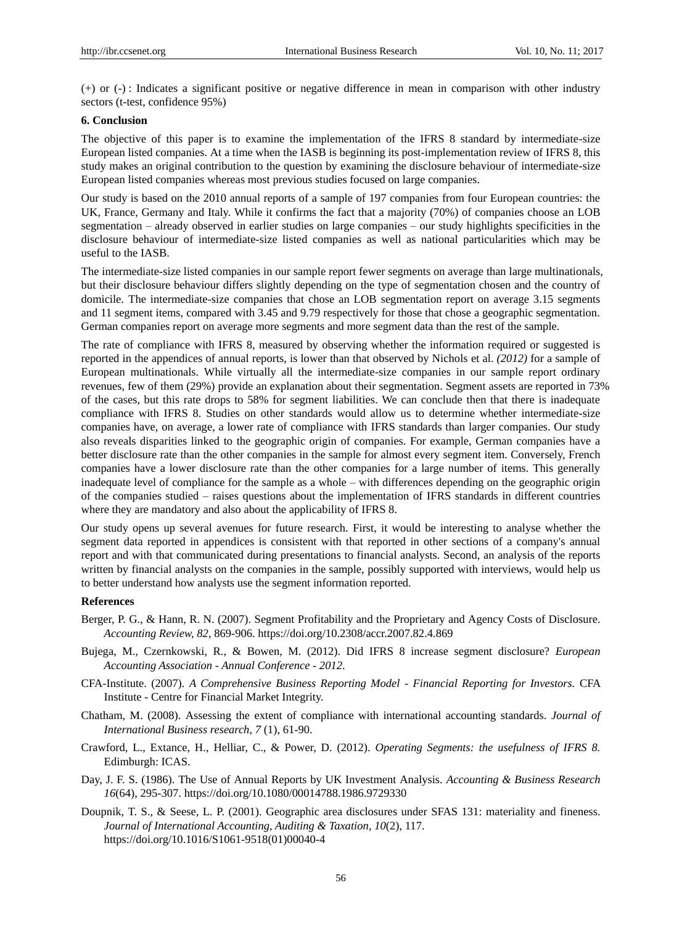(+) or (-) : Indicates a significant positive or negative difference in mean in comparison with other industry sectors (t-test, confidence 95%)

#### **6. Conclusion**

The objective of this paper is to examine the implementation of the IFRS 8 standard by intermediate-size European listed companies. At a time when the IASB is beginning its post-implementation review of IFRS 8, this study makes an original contribution to the question by examining the disclosure behaviour of intermediate-size European listed companies whereas most previous studies focused on large companies.

Our study is based on the 2010 annual reports of a sample of 197 companies from four European countries: the UK, France, Germany and Italy. While it confirms the fact that a majority (70%) of companies choose an LOB segmentation – already observed in earlier studies on large companies – our study highlights specificities in the disclosure behaviour of intermediate-size listed companies as well as national particularities which may be useful to the IASB.

The intermediate-size listed companies in our sample report fewer segments on average than large multinationals, but their disclosure behaviour differs slightly depending on the type of segmentation chosen and the country of domicile. The intermediate-size companies that chose an LOB segmentation report on average 3.15 segments and 11 segment items, compared with 3.45 and 9.79 respectively for those that chose a geographic segmentation. German companies report on average more segments and more segment data than the rest of the sample.

The rate of compliance with IFRS 8, measured by observing whether the information required or suggested is reported in the appendices of annual reports, is lower than that observed by Nichols et al. *(2012)* for a sample of European multinationals. While virtually all the intermediate-size companies in our sample report ordinary revenues, few of them (29%) provide an explanation about their segmentation. Segment assets are reported in 73% of the cases, but this rate drops to 58% for segment liabilities. We can conclude then that there is inadequate compliance with IFRS 8. Studies on other standards would allow us to determine whether intermediate-size companies have, on average, a lower rate of compliance with IFRS standards than larger companies. Our study also reveals disparities linked to the geographic origin of companies. For example, German companies have a better disclosure rate than the other companies in the sample for almost every segment item. Conversely, French companies have a lower disclosure rate than the other companies for a large number of items. This generally inadequate level of compliance for the sample as a whole – with differences depending on the geographic origin of the companies studied – raises questions about the implementation of IFRS standards in different countries where they are mandatory and also about the applicability of IFRS 8.

Our study opens up several avenues for future research. First, it would be interesting to analyse whether the segment data reported in appendices is consistent with that reported in other sections of a company's annual report and with that communicated during presentations to financial analysts. Second, an analysis of the reports written by financial analysts on the companies in the sample, possibly supported with interviews, would help us to better understand how analysts use the segment information reported.

#### **References**

- Berger, P. G., & Hann, R. N. (2007). Segment Profitability and the Proprietary and Agency Costs of Disclosure. *Accounting Review, 82*, 869-906. https://doi.org/10.2308/accr.2007.82.4.869
- Bujega, M., Czernkowski, R., & Bowen, M. (2012). Did IFRS 8 increase segment disclosure? *European Accounting Association - Annual Conference - 2012*.
- CFA-Institute. (2007). *A Comprehensive Business Reporting Model - Financial Reporting for Investors.* CFA Institute - Centre for Financial Market Integrity.
- Chatham, M. (2008). Assessing the extent of compliance with international accounting standards. *Journal of International Business research, 7* (1), 61-90.
- Crawford, L., Extance, H., Helliar, C., & Power, D. (2012). *Operating Segments: the usefulness of IFRS 8.* Edimburgh: ICAS.
- Day, J. F. S. (1986). The Use of Annual Reports by UK Investment Analysis. *Accounting & Business Research 16*(64), 295-307. https://doi.org/10.1080/00014788.1986.9729330
- Doupnik, T. S., & Seese, L. P. (2001). Geographic area disclosures under SFAS 131: materiality and fineness. *Journal of International Accounting, Auditing & Taxation, 10*(2), 117. https://doi.org/10.1016/S1061-9518(01)00040-4